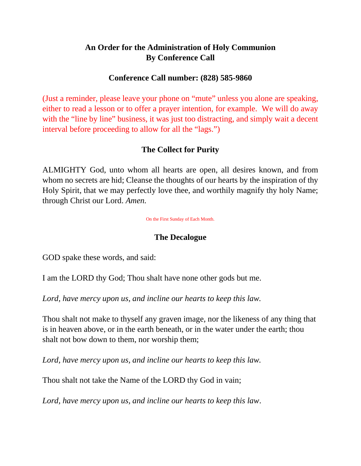# **An Order for the Administration of Holy Communion By Conference Call**

# **Conference Call number: (828) 585-9860**

(Just a reminder, please leave your phone on "mute" unless you alone are speaking, either to read a lesson or to offer a prayer intention, for example. We will do away with the "line by line" business, it was just too distracting, and simply wait a decent interval before proceeding to allow for all the "lags.")

# **The Collect for Purity**

ALMIGHTY God, unto whom all hearts are open, all desires known, and from whom no secrets are hid; Cleanse the thoughts of our hearts by the inspiration of thy Holy Spirit, that we may perfectly love thee, and worthily magnify thy holy Name; through Christ our Lord. *Amen.*

On the First Sunday of Each Month.

# **The Decalogue**

GOD spake these words, and said:

I am the LORD thy God; Thou shalt have none other gods but me.

*Lord, have mercy upon us, and incline our hearts to keep this law.*

Thou shalt not make to thyself any graven image, nor the likeness of any thing that is in heaven above, or in the earth beneath, or in the water under the earth; thou shalt not bow down to them, nor worship them;

*Lord, have mercy upon us, and incline our hearts to keep this law.*

Thou shalt not take the Name of the LORD thy God in vain;

*Lord, have mercy upon us, and incline our hearts to keep this law*.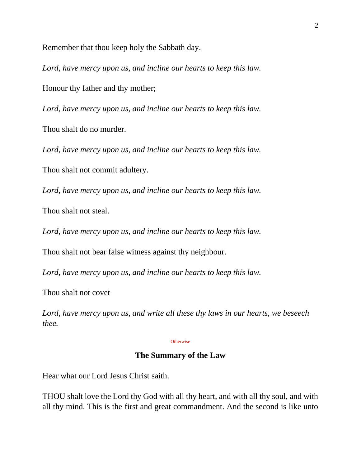Remember that thou keep holy the Sabbath day.

*Lord, have mercy upon us, and incline our hearts to keep this law.* Honour thy father and thy mother;

*Lord, have mercy upon us, and incline our hearts to keep this law.*

Thou shalt do no murder.

*Lord, have mercy upon us, and incline our hearts to keep this law.*

Thou shalt not commit adultery.

*Lord, have mercy upon us, and incline our hearts to keep this law.*

Thou shalt not steal.

*Lord, have mercy upon us, and incline our hearts to keep this law.*

Thou shalt not bear false witness against thy neighbour.

*Lord, have mercy upon us, and incline our hearts to keep this law.*

Thou shalt not covet

*Lord, have mercy upon us, and write all these thy laws in our hearts, we beseech thee.*

#### **Otherwise**

### **The Summary of the Law**

Hear what our Lord Jesus Christ saith.

THOU shalt love the Lord thy God with all thy heart, and with all thy soul, and with all thy mind. This is the first and great commandment. And the second is like unto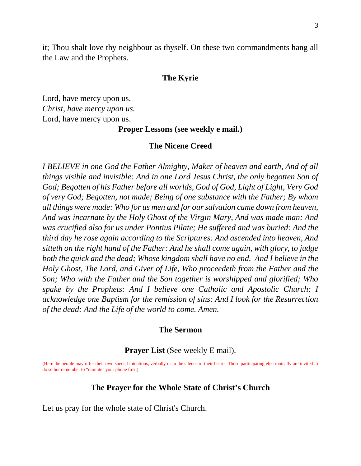it; Thou shalt love thy neighbour as thyself. On these two commandments hang all the Law and the Prophets.

### **The Kyrie**

Lord, have mercy upon us. *Christ, have mercy upon us.* Lord, have mercy upon us.

**Proper Lessons (see weekly e mail.)**

#### **The Nicene Creed**

*I BELIEVE in one God the Father Almighty, Maker of heaven and earth, And of all things visible and invisible: And in one Lord Jesus Christ, the only begotten Son of God; Begotten of his Father before all worlds, God of God, Light of Light, Very God of very God; Begotten, not made; Being of one substance with the Father; By whom all things were made: Who for us men and for our salvation came down from heaven, And was incarnate by the Holy Ghost of the Virgin Mary, And was made man: And was crucified also for us under Pontius Pilate; He suffered and was buried: And the third day he rose again according to the Scriptures: And ascended into heaven, And sitteth on the right hand of the Father: And he shall come again, with glory, to judge both the quick and the dead; Whose kingdom shall have no end. And I believe in the Holy Ghost, The Lord, and Giver of Life, Who proceedeth from the Father and the Son; Who with the Father and the Son together is worshipped and glorified; Who spake by the Prophets: And I believe one Catholic and Apostolic Church: I acknowledge one Baptism for the remission of sins: And I look for the Resurrection of the dead: And the Life of the world to come. Amen.*

#### **The Sermon**

### **Prayer List** (See weekly E mail).

(Here the people may offer their own special intentions, verbally or in the silence of their hearts. Those participating electronically are invited to do so but remember to "unmute" your phone first.)

#### **The Prayer for the Whole State of Christ's Church**

Let us pray for the whole state of Christ's Church.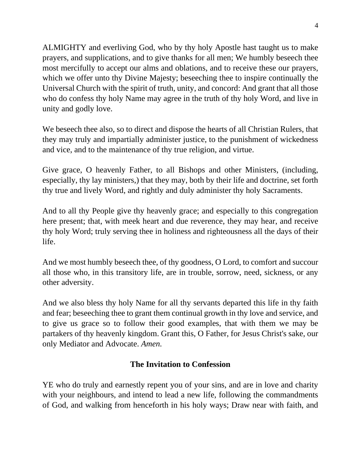ALMIGHTY and everliving God, who by thy holy Apostle hast taught us to make prayers, and supplications, and to give thanks for all men; We humbly beseech thee most mercifully to accept our alms and oblations, and to receive these our prayers, which we offer unto thy Divine Majesty; beseeching thee to inspire continually the Universal Church with the spirit of truth, unity, and concord: And grant that all those who do confess thy holy Name may agree in the truth of thy holy Word, and live in unity and godly love.

We beseech thee also, so to direct and dispose the hearts of all Christian Rulers, that they may truly and impartially administer justice, to the punishment of wickedness and vice, and to the maintenance of thy true religion, and virtue.

Give grace, O heavenly Father, to all Bishops and other Ministers, (including, especially, thy lay ministers,) that they may, both by their life and doctrine, set forth thy true and lively Word, and rightly and duly administer thy holy Sacraments.

And to all thy People give thy heavenly grace; and especially to this congregation here present; that, with meek heart and due reverence, they may hear, and receive thy holy Word; truly serving thee in holiness and righteousness all the days of their life.

And we most humbly beseech thee, of thy goodness, O Lord, to comfort and succour all those who, in this transitory life, are in trouble, sorrow, need, sickness, or any other adversity.

And we also bless thy holy Name for all thy servants departed this life in thy faith and fear; beseeching thee to grant them continual growth in thy love and service, and to give us grace so to follow their good examples, that with them we may be partakers of thy heavenly kingdom. Grant this, O Father, for Jesus Christ's sake, our only Mediator and Advocate. *Amen.*

# **The Invitation to Confession**

YE who do truly and earnestly repent you of your sins, and are in love and charity with your neighbours, and intend to lead a new life, following the commandments of God, and walking from henceforth in his holy ways; Draw near with faith, and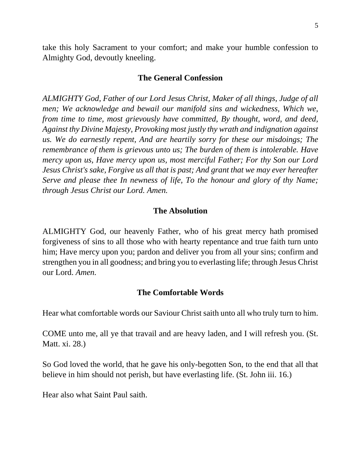take this holy Sacrament to your comfort; and make your humble confession to Almighty God, devoutly kneeling.

#### **The General Confession**

*ALMIGHTY God, Father of our Lord Jesus Christ, Maker of all things, Judge of all men; We acknowledge and bewail our manifold sins and wickedness, Which we, from time to time, most grievously have committed, By thought, word, and deed, Against thy Divine Majesty, Provoking most justly thy wrath and indignation against us. We do earnestly repent, And are heartily sorry for these our misdoings; The remembrance of them is grievous unto us; The burden of them is intolerable. Have mercy upon us, Have mercy upon us, most merciful Father; For thy Son our Lord Jesus Christ's sake, Forgive us all that is past; And grant that we may ever hereafter Serve and please thee In newness of life, To the honour and glory of thy Name; through Jesus Christ our Lord. Amen.*

### **The Absolution**

ALMIGHTY God, our heavenly Father, who of his great mercy hath promised forgiveness of sins to all those who with hearty repentance and true faith turn unto him; Have mercy upon you; pardon and deliver you from all your sins; confirm and strengthen you in all goodness; and bring you to everlasting life; through Jesus Christ our Lord. *Amen.*

### **The Comfortable Words**

Hear what comfortable words our Saviour Christ saith unto all who truly turn to him.

COME unto me, all ye that travail and are heavy laden, and I will refresh you. (St. Matt. xi. 28.)

So God loved the world, that he gave his only-begotten Son, to the end that all that believe in him should not perish, but have everlasting life. (St. John iii. 16.)

Hear also what Saint Paul saith.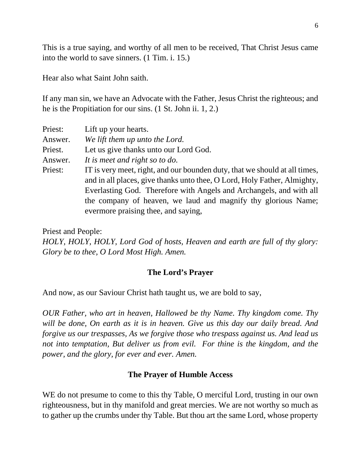This is a true saying, and worthy of all men to be received, That Christ Jesus came into the world to save sinners. (1 Tim. i. 15.)

Hear also what Saint John saith.

If any man sin, we have an Advocate with the Father, Jesus Christ the righteous; and he is the Propitiation for our sins. (1 St. John ii. 1, 2.)

| Priest: | Lift up your hearts.                                                                                                                                                                                                                                                                                                                  |
|---------|---------------------------------------------------------------------------------------------------------------------------------------------------------------------------------------------------------------------------------------------------------------------------------------------------------------------------------------|
| Answer. | We lift them up unto the Lord.                                                                                                                                                                                                                                                                                                        |
| Priest. | Let us give thanks unto our Lord God.                                                                                                                                                                                                                                                                                                 |
| Answer. | It is meet and right so to do.                                                                                                                                                                                                                                                                                                        |
| Priest: | IT is very meet, right, and our bounden duty, that we should at all times,<br>and in all places, give thanks unto thee, O Lord, Holy Father, Almighty,<br>Everlasting God. Therefore with Angels and Archangels, and with all<br>the company of heaven, we laud and magnify thy glorious Name;<br>evermore praising thee, and saying, |

Priest and People:

*HOLY, HOLY, HOLY, Lord God of hosts, Heaven and earth are full of thy glory: Glory be to thee, O Lord Most High. Amen.*

### **The Lord's Prayer**

And now, as our Saviour Christ hath taught us, we are bold to say,

*OUR Father, who art in heaven, Hallowed be thy Name. Thy kingdom come. Thy will be done, On earth as it is in heaven. Give us this day our daily bread. And forgive us our trespasses, As we forgive those who trespass against us. And lead us not into temptation, But deliver us from evil. For thine is the kingdom, and the power, and the glory, for ever and ever. Amen.*

## **The Prayer of Humble Access**

WE do not presume to come to this thy Table, O merciful Lord, trusting in our own righteousness, but in thy manifold and great mercies. We are not worthy so much as to gather up the crumbs under thy Table. But thou art the same Lord, whose property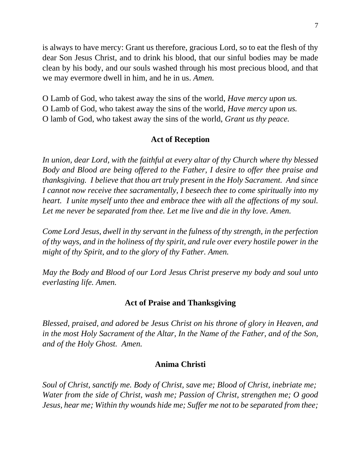is always to have mercy: Grant us therefore, gracious Lord, so to eat the flesh of thy dear Son Jesus Christ, and to drink his blood, that our sinful bodies may be made clean by his body, and our souls washed through his most precious blood, and that we may evermore dwell in him, and he in us. *Amen.*

O Lamb of God, who takest away the sins of the world, *Have mercy upon us.* O Lamb of God, who takest away the sins of the world, *Have mercy upon us.* O lamb of God, who takest away the sins of the world, *Grant us thy peace.*

## **Act of Reception**

*In union, dear Lord, with the faithful at every altar of thy Church where thy blessed Body and Blood are being offered to the Father, I desire to offer thee praise and thanksgiving. I believe that thou art truly present in the Holy Sacrament. And since I cannot now receive thee sacramentally, I beseech thee to come spiritually into my heart. I unite myself unto thee and embrace thee with all the affections of my soul. Let me never be separated from thee. Let me live and die in thy love. Amen.*

*Come Lord Jesus, dwell in thy servant in the fulness of thy strength, in the perfection of thy ways, and in the holiness of thy spirit, and rule over every hostile power in the might of thy Spirit, and to the glory of thy Father. Amen.*

*May the Body and Blood of our Lord Jesus Christ preserve my body and soul unto everlasting life. Amen.*

### **Act of Praise and Thanksgiving**

*Blessed, praised, and adored be Jesus Christ on his throne of glory in Heaven, and in the most Holy Sacrament of the Altar, In the Name of the Father, and of the Son, and of the Holy Ghost. Amen.*

### **Anima Christi**

*Soul of Christ, sanctify me. Body of Christ, save me; Blood of Christ, inebriate me; Water from the side of Christ, wash me; Passion of Christ, strengthen me; O good Jesus, hear me; Within thy wounds hide me; Suffer me not to be separated from thee;*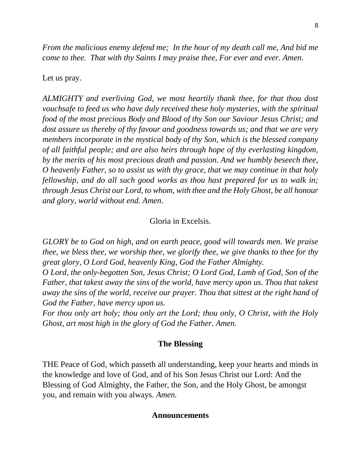*From the malicious enemy defend me; In the hour of my death call me, And bid me come to thee. That with thy Saints I may praise thee, For ever and ever. Amen.*

### Let us pray.

*ALMIGHTY and everliving God, we most heartily thank thee, for that thou dost vouchsafe to feed us who have duly received these holy mysteries, with the spiritual food of the most precious Body and Blood of thy Son our Saviour Jesus Christ; and dost assure us thereby of thy favour and goodness towards us; and that we are very members incorporate in the mystical body of thy Son, which is the blessed company of all faithful people; and are also heirs through hope of thy everlasting kingdom, by the merits of his most precious death and passion. And we humbly beseech thee, O heavenly Father, so to assist us with thy grace, that we may continue in that holy fellowship, and do all such good works as thou hast prepared for us to walk in; through Jesus Christ our Lord, to whom, with thee and the Holy Ghost, be all honour and glory, world without end. Amen.*

#### Gloria in Excelsis.

*GLORY be to God on high, and on earth peace, good will towards men. We praise thee, we bless thee, we worship thee, we glorify thee, we give thanks to thee for thy great glory, O Lord God, heavenly King, God the Father Almighty.*

*O Lord, the only-begotten Son, Jesus Christ; O Lord God, Lamb of God, Son of the Father, that takest away the sins of the world, have mercy upon us. Thou that takest away the sins of the world, receive our prayer. Thou that sittest at the right hand of God the Father, have mercy upon us.*

*For thou only art holy; thou only art the Lord; thou only, O Christ, with the Holy Ghost, art most high in the glory of God the Father. Amen.*

#### **The Blessing**

THE Peace of God, which passeth all understanding, keep your hearts and minds in the knowledge and love of God, and of his Son Jesus Christ our Lord: And the Blessing of God Almighty, the Father, the Son, and the Holy Ghost, be amongst you, and remain with you always. *Amen.*

#### **Announcements**